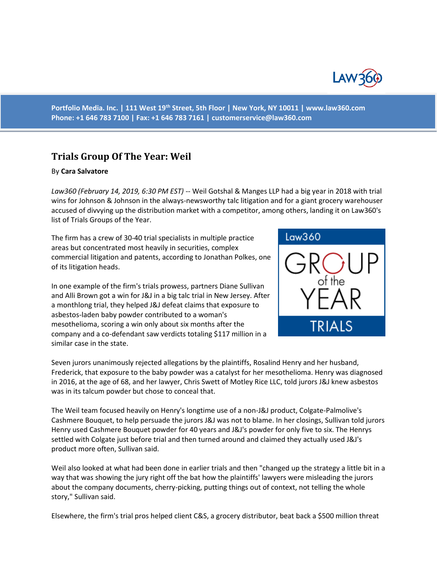

**Portfolio Media. Inc. | 111 West 19th Street, 5th Floor | New York, NY 10011 | www.law360.com Phone: +1 646 783 7100 | Fax: +1 646 783 7161 | [customerservice@law360.com](mailto:customerservice@law360.com)**

## **Trials Group Of The Year: Weil**

## By **Cara Salvatore**

*Law360 (February 14, 2019, 6:30 PM EST)* -- Weil Gotshal & Manges LLP had a big year in 2018 with trial wins for Johnson & Johnson in the always-newsworthy talc litigation and for a giant grocery warehouser accused of divvying up the distribution market with a competitor, among others, landing it on Law360's list of Trials Groups of the Year.

The firm has a crew of 30-40 trial specialists in multiple practice areas but concentrated most heavily in securities, complex commercial litigation and patents, according to Jonathan Polkes, one of its litigation heads.

In one example of the firm's trials prowess, partners Diane Sullivan and Alli Brown got a win for J&J in a big talc trial in New Jersey. After a monthlong trial, they helped J&J defeat claims that exposure to asbestos-laden baby powder contributed to a woman's mesothelioma, scoring a win only about six months after the company and a co-defendant saw verdicts totaling \$117 million in a similar case in the state.



Seven jurors unanimously rejected allegations by the plaintiffs, Rosalind Henry and her husband, Frederick, that exposure to the baby powder was a catalyst for her mesothelioma. Henry was diagnosed in 2016, at the age of 68, and her lawyer, Chris Swett of Motley Rice LLC, told jurors J&J knew asbestos was in its talcum powder but chose to conceal that.

The Weil team focused heavily on Henry's longtime use of a non-J&J product, Colgate-Palmolive's Cashmere Bouquet, to help persuade the jurors J&J was not to blame. In her closings, Sullivan told jurors Henry used Cashmere Bouquet powder for 40 years and J&J's powder for only five to six. The Henrys settled with Colgate just before trial and then turned around and claimed they actually used J&J's product more often, Sullivan said.

Weil also looked at what had been done in earlier trials and then "changed up the strategy a little bit in a way that was showing the jury right off the bat how the plaintiffs' lawyers were misleading the jurors about the company documents, cherry-picking, putting things out of context, not telling the whole story," Sullivan said.

Elsewhere, the firm's trial pros helped client C&S, a grocery distributor, beat back a \$500 million threat